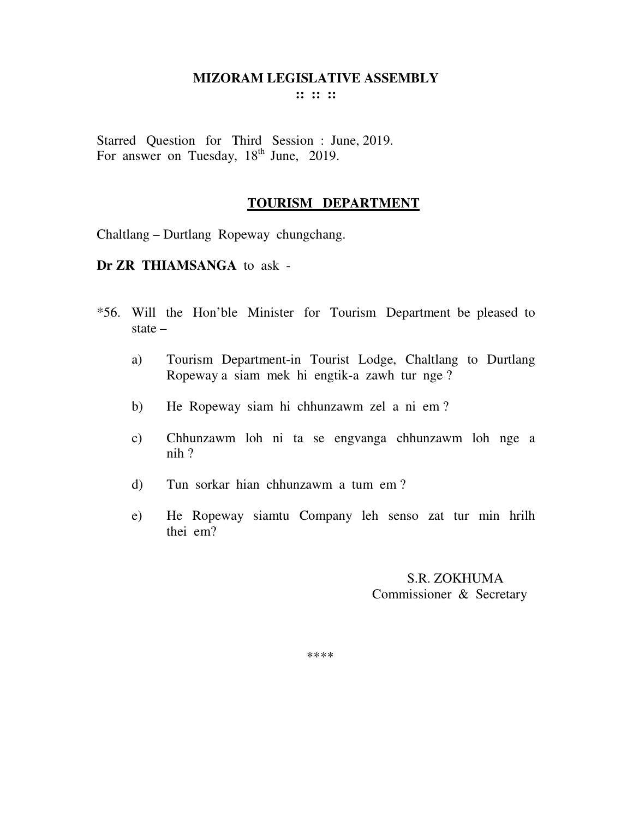**:: :: ::** 

Starred Question for Third Session : June, 2019. For answer on Tuesday, 18<sup>th</sup> June, 2019.

#### **TOURISM DEPARTMENT**

Chaltlang – Durtlang Ropeway chungchang.

**Dr ZR THIAMSANGA** to ask -

- \*56. Will the Hon'ble Minister for Tourism Department be pleased to state –
	- a) Tourism Department-in Tourist Lodge, Chaltlang to Durtlang Ropeway a siam mek hi engtik-a zawh tur nge ?
	- b) He Ropeway siam hi chhunzawm zel a ni em ?
	- c) Chhunzawm loh ni ta se engvanga chhunzawm loh nge a nih ?
	- d) Tun sorkar hian chhunzawm a tum em ?
	- e) He Ropeway siamtu Company leh senso zat tur min hrilh thei em?

 S.R. ZOKHUMA Commissioner & Secretary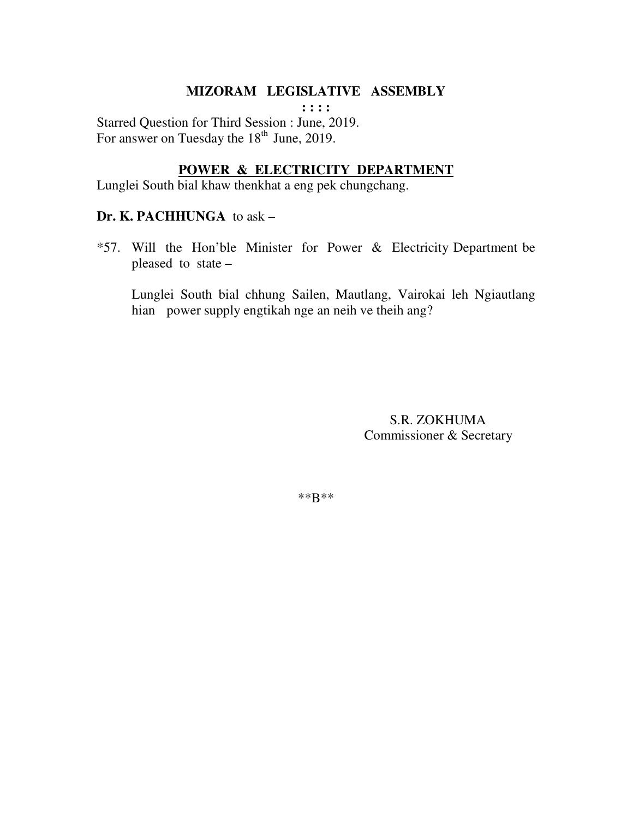**: : : :**  Starred Question for Third Session : June, 2019. For answer on Tuesday the  $18<sup>th</sup>$  June, 2019.

# **POWER & ELECTRICITY DEPARTMENT**

Lunglei South bial khaw thenkhat a eng pek chungchang.

#### **Dr. K. PACHHUNGA** to ask –

\*57. Will the Hon'ble Minister for Power & Electricity Department be pleased to state –

 Lunglei South bial chhung Sailen, Mautlang, Vairokai leh Ngiautlang hian power supply engtikah nge an neih ve theih ang?

> S.R. ZOKHUMA Commissioner & Secretary

\*\*B\*\*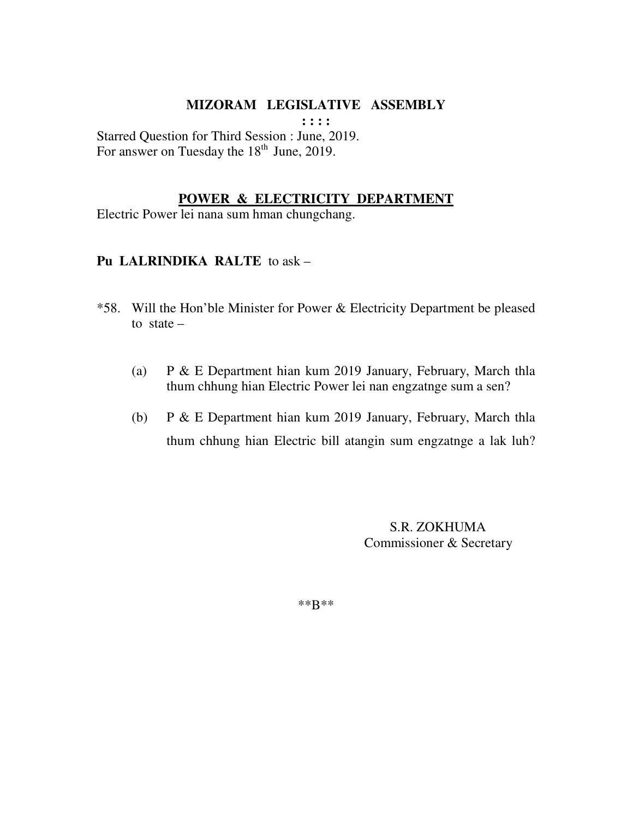**: : : :** 

Starred Question for Third Session : June, 2019. For answer on Tuesday the  $18<sup>th</sup>$  June, 2019.

#### **POWER & ELECTRICITY DEPARTMENT**

Electric Power lei nana sum hman chungchang.

## **Pu LALRINDIKA RALTE** to ask –

- \*58. Will the Hon'ble Minister for Power & Electricity Department be pleased to state  $-$ 
	- (a) P & E Department hian kum 2019 January, February, March thla thum chhung hian Electric Power lei nan engzatnge sum a sen?
	- (b) P & E Department hian kum 2019 January, February, March thla thum chhung hian Electric bill atangin sum engzatnge a lak luh?

 S.R. ZOKHUMA Commissioner & Secretary

\*\*B\*\*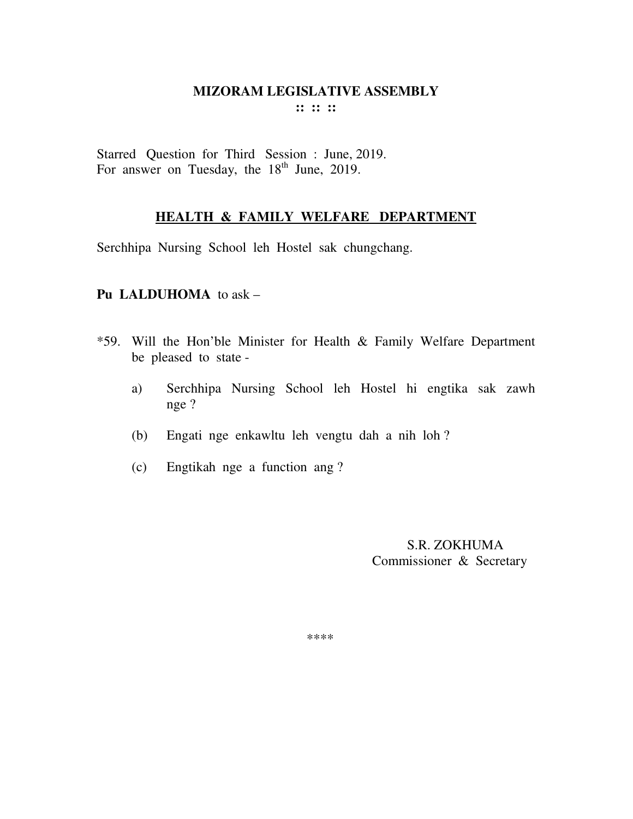Starred Question for Third Session : June, 2019. For answer on Tuesday, the  $18<sup>th</sup>$  June, 2019.

### **HEALTH & FAMILY WELFARE DEPARTMENT**

Serchhipa Nursing School leh Hostel sak chungchang.

## **Pu LALDUHOMA** to ask –

- \*59. Will the Hon'ble Minister for Health & Family Welfare Department be pleased to state
	- a) Serchhipa Nursing School leh Hostel hi engtika sak zawh nge ?
	- (b) Engati nge enkawltu leh vengtu dah a nih loh ?
	- (c) Engtikah nge a function ang ?

 S.R. ZOKHUMA Commissioner & Secretary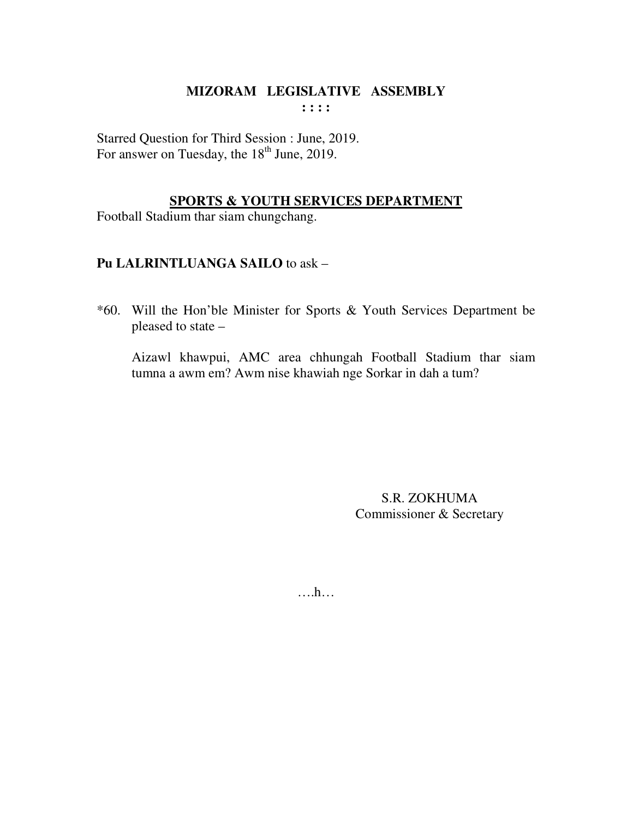Starred Question for Third Session : June, 2019. For answer on Tuesday, the  $18<sup>th</sup>$  June, 2019.

### **SPORTS & YOUTH SERVICES DEPARTMENT**

Football Stadium thar siam chungchang.

## **Pu LALRINTLUANGA SAILO** to ask –

\*60. Will the Hon'ble Minister for Sports & Youth Services Department be pleased to state –

 Aizawl khawpui, AMC area chhungah Football Stadium thar siam tumna a awm em? Awm nise khawiah nge Sorkar in dah a tum?

> S.R. ZOKHUMA Commissioner & Secretary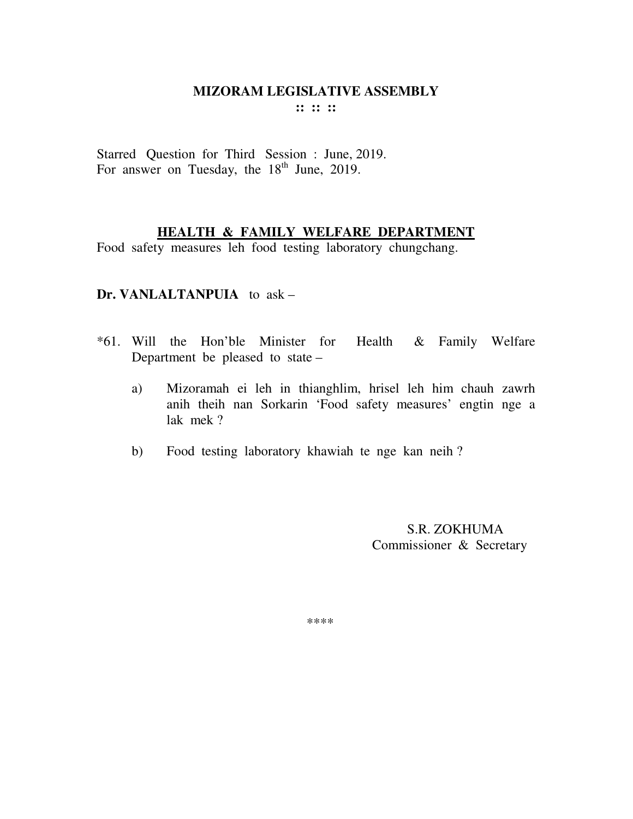Starred Question for Third Session : June, 2019. For answer on Tuesday, the  $18<sup>th</sup>$  June, 2019.

## **HEALTH & FAMILY WELFARE DEPARTMENT**

Food safety measures leh food testing laboratory chungchang.

### **Dr. VANLALTANPUIA** to ask –

- \*61. Will the Hon'ble Minister for Health & Family Welfare Department be pleased to state –
	- a) Mizoramah ei leh in thianghlim, hrisel leh him chauh zawrh anih theih nan Sorkarin 'Food safety measures' engtin nge a lak mek ?
	- b) Food testing laboratory khawiah te nge kan neih ?

 S.R. ZOKHUMA Commissioner & Secretary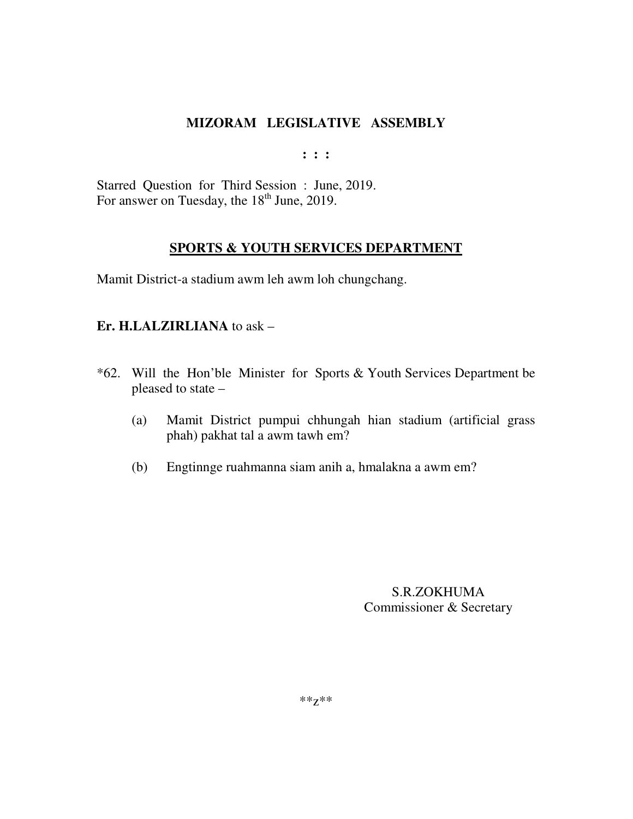**: : :** 

Starred Question for Third Session : June, 2019. For answer on Tuesday, the  $18<sup>th</sup>$  June, 2019.

# **SPORTS & YOUTH SERVICES DEPARTMENT**

Mamit District-a stadium awm leh awm loh chungchang.

## **Er. H.LALZIRLIANA** to ask –

- \*62. Will the Hon'ble Minister for Sports & Youth Services Department be pleased to state –
	- (a) Mamit District pumpui chhungah hian stadium (artificial grass phah) pakhat tal a awm tawh em?
	- (b) Engtinnge ruahmanna siam anih a, hmalakna a awm em?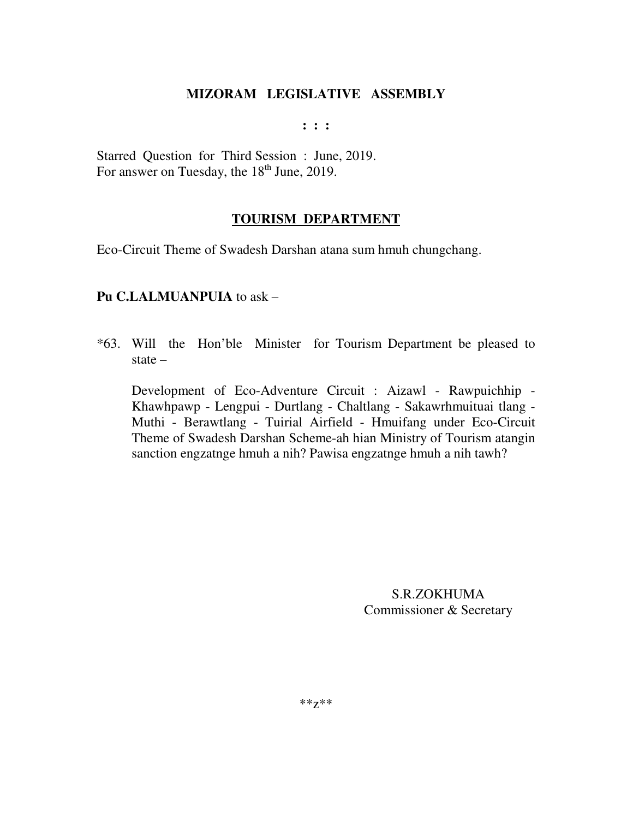**: : :** 

Starred Question for Third Session : June, 2019. For answer on Tuesday, the  $18<sup>th</sup>$  June, 2019.

### **TOURISM DEPARTMENT**

Eco-Circuit Theme of Swadesh Darshan atana sum hmuh chungchang.

### **Pu C.LALMUANPUIA** to ask –

\*63. Will the Hon'ble Minister for Tourism Department be pleased to state –

Development of Eco-Adventure Circuit : Aizawl - Rawpuichhip - Khawhpawp - Lengpui - Durtlang - Chaltlang - Sakawrhmuituai tlang - Muthi - Berawtlang - Tuirial Airfield - Hmuifang under Eco-Circuit Theme of Swadesh Darshan Scheme-ah hian Ministry of Tourism atangin sanction engzatnge hmuh a nih? Pawisa engzatnge hmuh a nih tawh?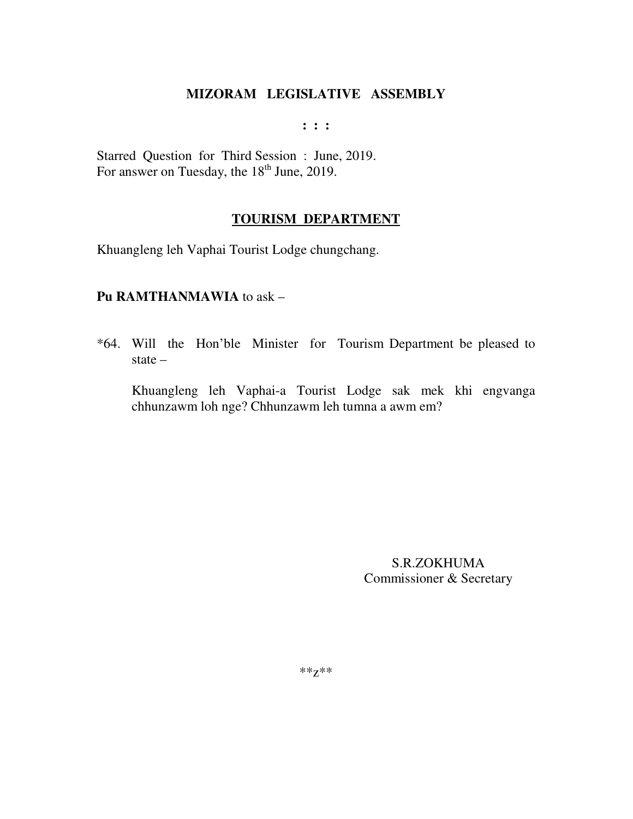**: : :** 

Starred Question for Third Session : June, 2019. For answer on Tuesday, the 18<sup>th</sup> June, 2019.

### **TOURISM DEPARTMENT**

Khuangleng leh Vaphai Tourist Lodge chungchang.

### **Pu RAMTHANMAWIA** to ask –

\*64. Will the Hon'ble Minister for Tourism Department be pleased to state –

Khuangleng leh Vaphai-a Tourist Lodge sak mek khi engvanga chhunzawm loh nge? Chhunzawm leh tumna a awm em?

> S.R.ZOKHUMA Commissioner & Secretary

\*\*z\*\*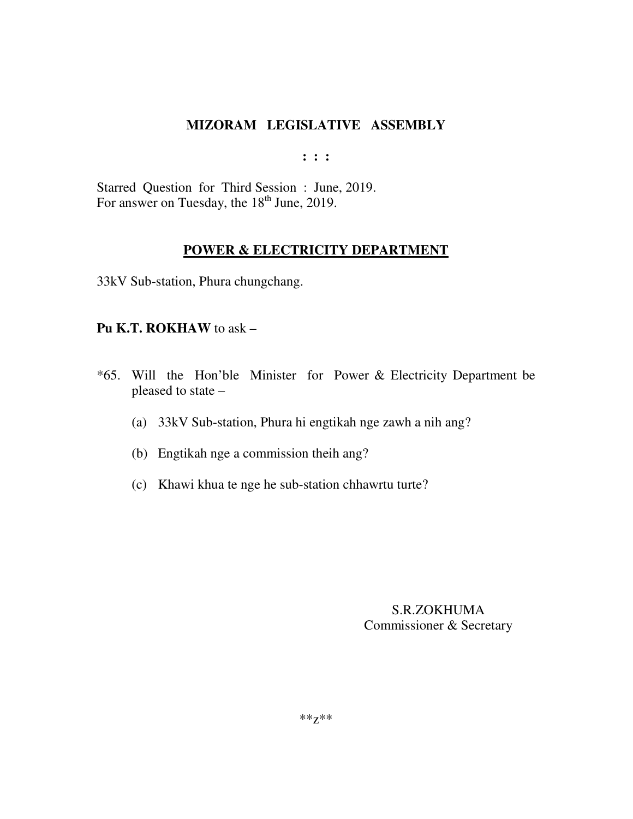**: : :** 

Starred Question for Third Session : June, 2019. For answer on Tuesday, the 18<sup>th</sup> June, 2019.

### **POWER & ELECTRICITY DEPARTMENT**

33kV Sub-station, Phura chungchang.

#### **Pu K.T. ROKHAW** to ask –

- \*65. Will the Hon'ble Minister for Power & Electricity Department be pleased to state –
	- (a) 33kV Sub-station, Phura hi engtikah nge zawh a nih ang?
	- (b) Engtikah nge a commission theih ang?
	- (c) Khawi khua te nge he sub-station chhawrtu turte?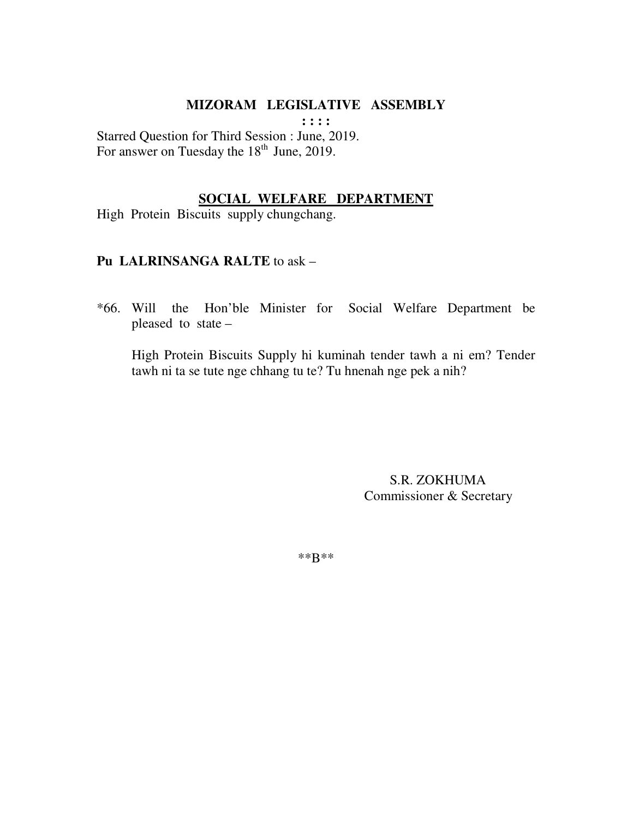**: : : :** 

Starred Question for Third Session : June, 2019. For answer on Tuesday the  $18<sup>th</sup>$  June, 2019.

#### **SOCIAL WELFARE DEPARTMENT**

High Protein Biscuits supply chungchang.

### **Pu LALRINSANGA RALTE** to ask –

\*66. Will the Hon'ble Minister for Social Welfare Department be pleased to state –

 High Protein Biscuits Supply hi kuminah tender tawh a ni em? Tender tawh ni ta se tute nge chhang tu te? Tu hnenah nge pek a nih?

> S.R. ZOKHUMA Commissioner & Secretary

\*\*B\*\*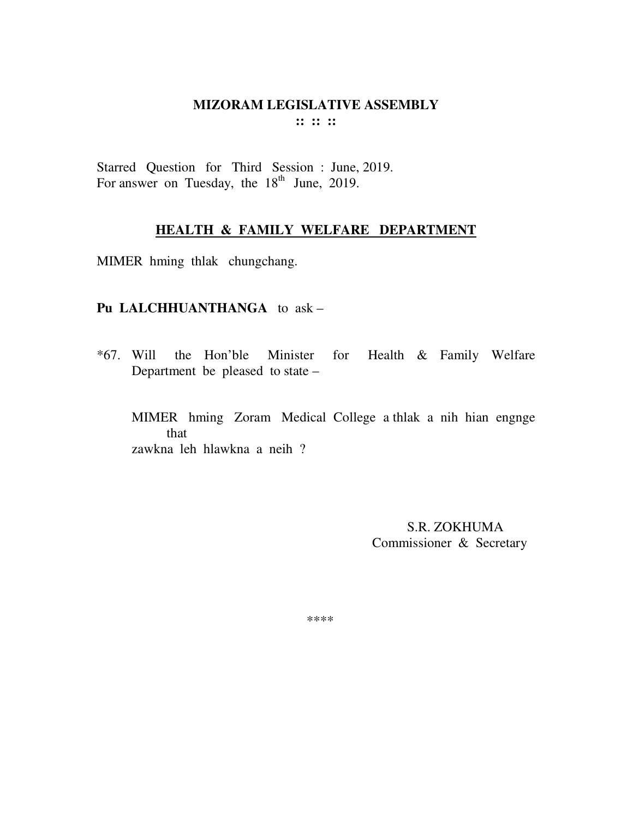Starred Question for Third Session : June, 2019. For answer on Tuesday, the 18<sup>th</sup> June, 2019.

## **HEALTH & FAMILY WELFARE DEPARTMENT**

MIMER hming thlak chungchang.

#### **Pu LALCHHUANTHANGA** to ask –

\*67. Will the Hon'ble Minister for Health & Family Welfare Department be pleased to state –

MIMER hming Zoram Medical College a thlak a nih hian engnge that zawkna leh hlawkna a neih ?

> S.R. ZOKHUMA Commissioner & Secretary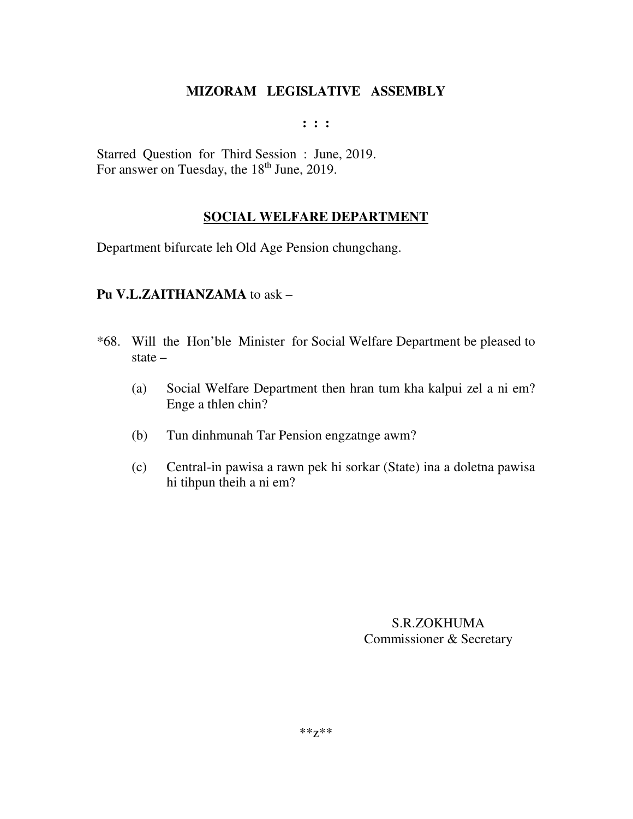**: : :** 

Starred Question for Third Session : June, 2019. For answer on Tuesday, the  $18<sup>th</sup>$  June, 2019.

# **SOCIAL WELFARE DEPARTMENT**

Department bifurcate leh Old Age Pension chungchang.

## **Pu V.L.ZAITHANZAMA** to ask –

- \*68. Will the Hon'ble Minister for Social Welfare Department be pleased to state –
	- (a) Social Welfare Department then hran tum kha kalpui zel a ni em? Enge a thlen chin?
	- (b) Tun dinhmunah Tar Pension engzatnge awm?
	- (c) Central-in pawisa a rawn pek hi sorkar (State) ina a doletna pawisa hi tihpun theih a ni em?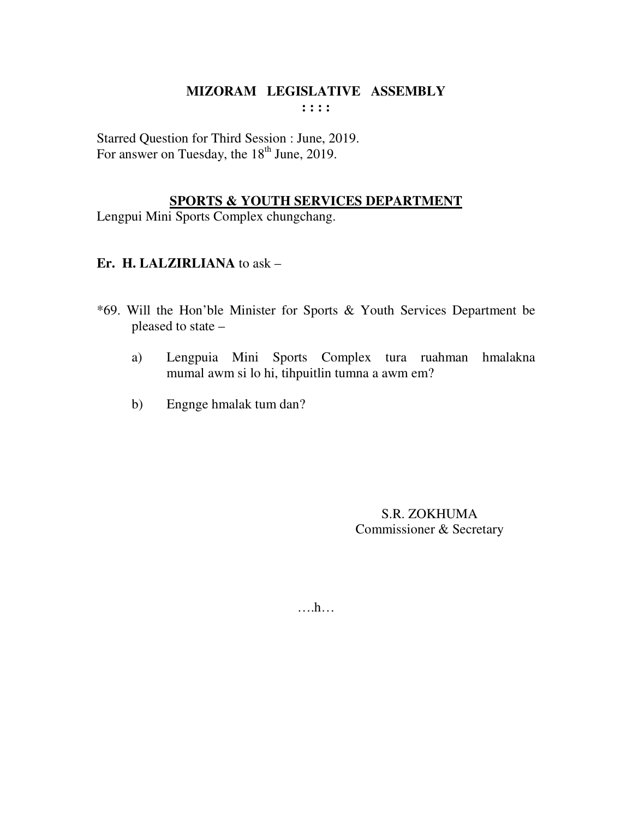Starred Question for Third Session : June, 2019. For answer on Tuesday, the  $18<sup>th</sup>$  June, 2019.

## **SPORTS & YOUTH SERVICES DEPARTMENT**

Lengpui Mini Sports Complex chungchang.

# **Er. H. LALZIRLIANA** to ask –

- \*69. Will the Hon'ble Minister for Sports & Youth Services Department be pleased to state –
	- a) Lengpuia Mini Sports Complex tura ruahman hmalakna mumal awm si lo hi, tihpuitlin tumna a awm em?
	- b) Engnge hmalak tum dan?

S.R. ZOKHUMA Commissioner & Secretary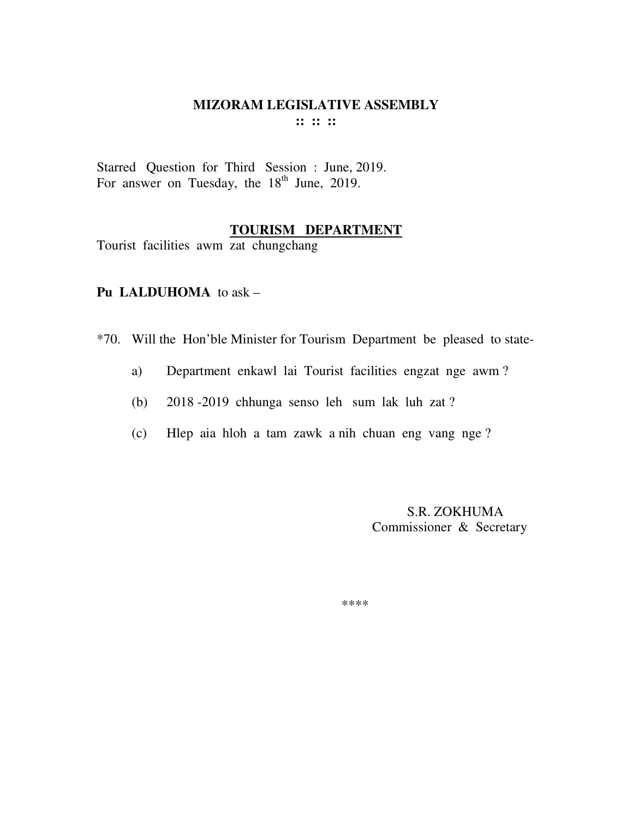Starred Question for Third Session : June, 2019. For answer on Tuesday, the 18<sup>th</sup> June, 2019.

## **TOURISM DEPARTMENT**

Tourist facilities awm zat chungchang

## **Pu LALDUHOMA** to ask –

\*70. Will the Hon'ble Minister for Tourism Department be pleased to state-

- a) Department enkawl lai Tourist facilities engzat nge awm ?
- (b) 2018 -2019 chhunga senso leh sum lak luh zat ?
- (c) Hlep aia hloh a tam zawk a nih chuan eng vang nge ?

 S.R. ZOKHUMA Commissioner & Secretary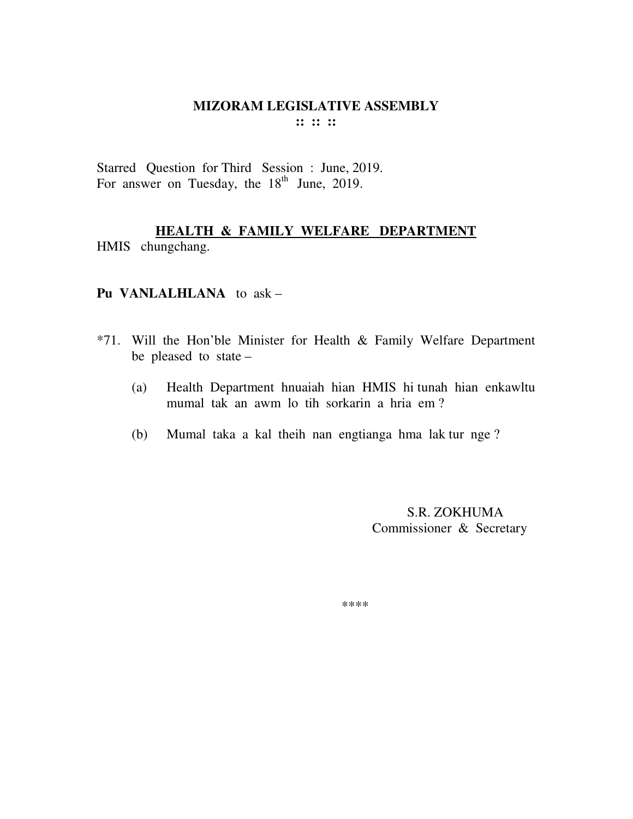Starred Question for Third Session : June, 2019. For answer on Tuesday, the 18<sup>th</sup> June, 2019.

## **HEALTH & FAMILY WELFARE DEPARTMENT** HMIS chungchang.

#### **Pu VANLALHLANA** to ask –

- \*71. Will the Hon'ble Minister for Health & Family Welfare Department be pleased to state –
	- (a) Health Department hnuaiah hian HMIS hi tunah hian enkawltu mumal tak an awm lo tih sorkarin a hria em ?
	- (b) Mumal taka a kal theih nan engtianga hma lak tur nge ?

 S.R. ZOKHUMA Commissioner & Secretary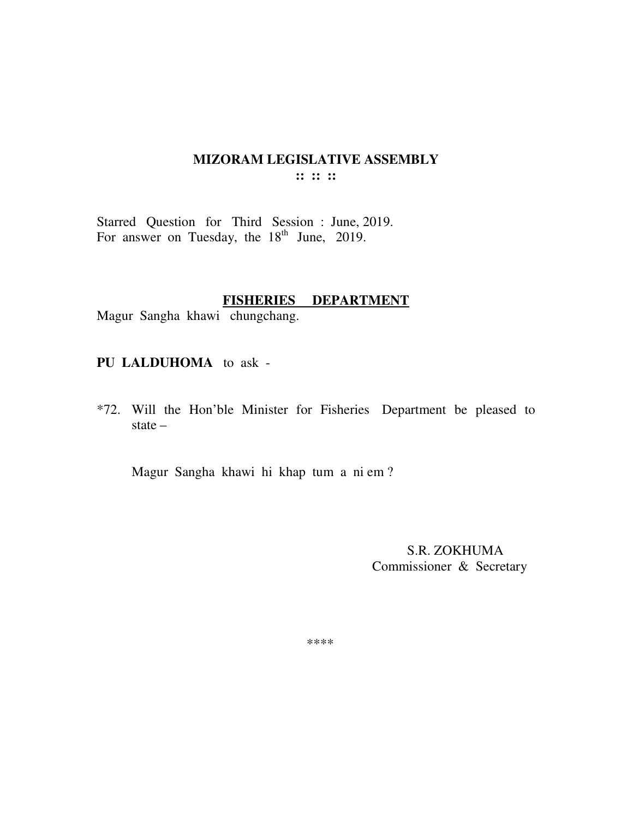Starred Question for Third Session : June, 2019. For answer on Tuesday, the  $18<sup>th</sup>$  June, 2019.

#### **FISHERIES DEPARTMENT**

Magur Sangha khawi chungchang.

**PU LALDUHOMA** to ask -

\*72. Will the Hon'ble Minister for Fisheries Department be pleased to state –

Magur Sangha khawi hi khap tum a ni em ?

 S.R. ZOKHUMA Commissioner & Secretary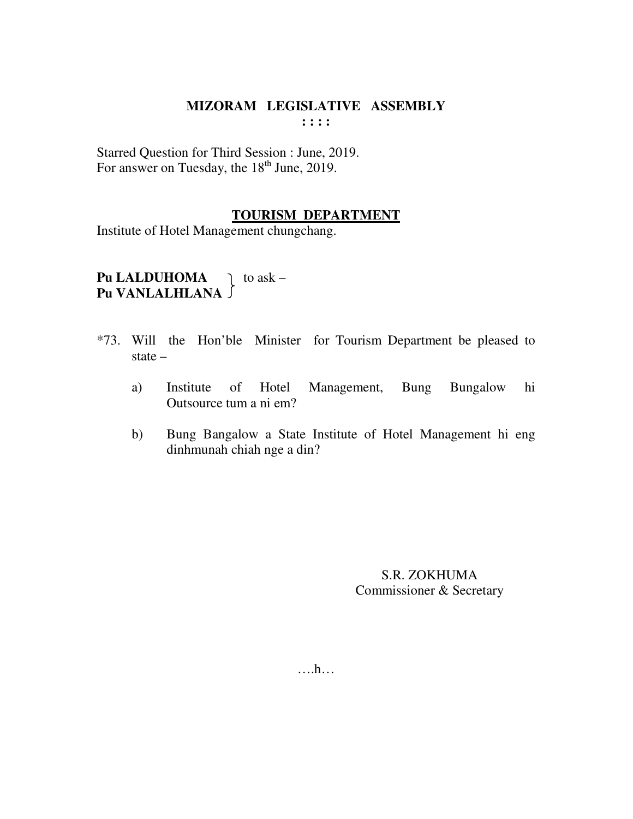Starred Question for Third Session : June, 2019. For answer on Tuesday, the  $18<sup>th</sup>$  June, 2019.

#### **TOURISM DEPARTMENT**

Institute of Hotel Management chungchang.

# **Pu LALDUHOMA**  $\downarrow$  to ask – **Pu VANLALHLANA**

- \*73. Will the Hon'ble Minister for Tourism Department be pleased to state –
	- a) Institute of Hotel Management, Bung Bungalow hi Outsource tum a ni em?
	- b) Bung Bangalow a State Institute of Hotel Management hi eng dinhmunah chiah nge a din?

S.R. ZOKHUMA Commissioner & Secretary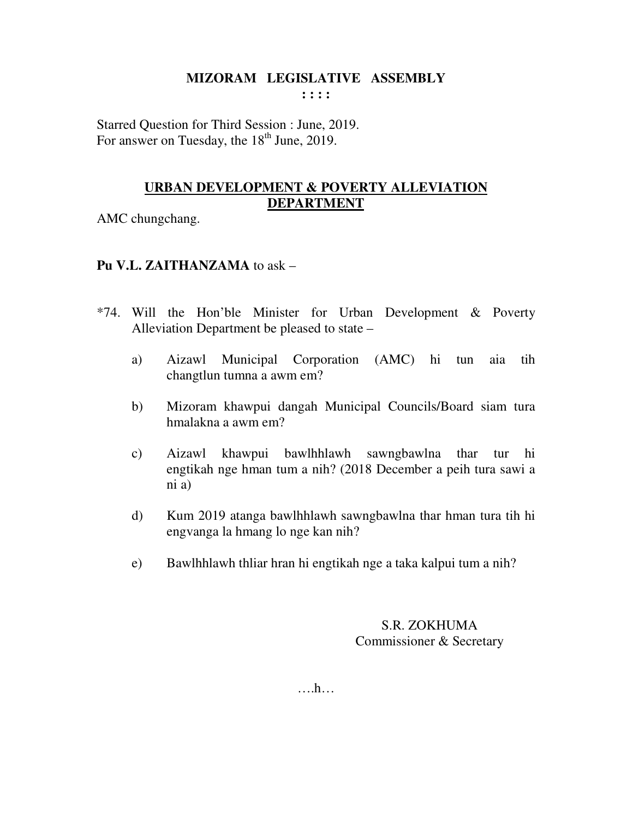**: : : :** 

Starred Question for Third Session : June, 2019. For answer on Tuesday, the  $18<sup>th</sup>$  June, 2019.

# **URBAN DEVELOPMENT & POVERTY ALLEVIATION DEPARTMENT**

AMC chungchang.

## **Pu V.L. ZAITHANZAMA** to ask –

- \*74. Will the Hon'ble Minister for Urban Development & Poverty Alleviation Department be pleased to state –
	- a) Aizawl Municipal Corporation (AMC) hi tun aia tih changtlun tumna a awm em?
	- b) Mizoram khawpui dangah Municipal Councils/Board siam tura hmalakna a awm em?
	- c) Aizawl khawpui bawlhhlawh sawngbawlna thar tur hi engtikah nge hman tum a nih? (2018 December a peih tura sawi a ni a)
	- d) Kum 2019 atanga bawlhhlawh sawngbawlna thar hman tura tih hi engvanga la hmang lo nge kan nih?
	- e) Bawlhhlawh thliar hran hi engtikah nge a taka kalpui tum a nih?

## S.R. ZOKHUMA Commissioner & Secretary